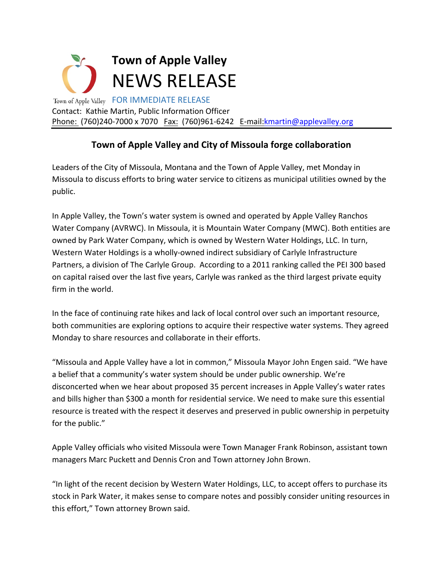

## **Town of Apple Valley and City of Missoula forge collaboration**

Leaders of the City of Missoula, Montana and the Town of Apple Valley, met Monday in Missoula to discuss efforts to bring water service to citizens as municipal utilities owned by the public.

In Apple Valley, the Town's water system is owned and operated by Apple Valley Ranchos Water Company (AVRWC). In Missoula, it is Mountain Water Company (MWC). Both entities are owned by Park Water Company, which is owned by Western Water Holdings, LLC. In turn, Western Water Holdings is a wholly-owned indirect subsidiary of Carlyle Infrastructure Partners, a division of The Carlyle Group. According to a 2011 ranking called the PEI 300 based on capital raised over the last five years, Carlyle was ranked as the third largest private equity firm in the world.

In the face of continuing rate hikes and lack of local control over such an important resource, both communities are exploring options to acquire their respective water systems. They agreed Monday to share resources and collaborate in their efforts.

"Missoula and Apple Valley have a lot in common," Missoula Mayor John Engen said. "We have a belief that a community's water system should be under public ownership. We're disconcerted when we hear about proposed 35 percent increases in Apple Valley's water rates and bills higher than \$300 a month for residential service. We need to make sure this essential resource is treated with the respect it deserves and preserved in public ownership in perpetuity for the public."

Apple Valley officials who visited Missoula were Town Manager Frank Robinson, assistant town managers Marc Puckett and Dennis Cron and Town attorney John Brown.

"In light of the recent decision by Western Water Holdings, LLC, to accept offers to purchase its stock in Park Water, it makes sense to compare notes and possibly consider uniting resources in this effort," Town attorney Brown said.